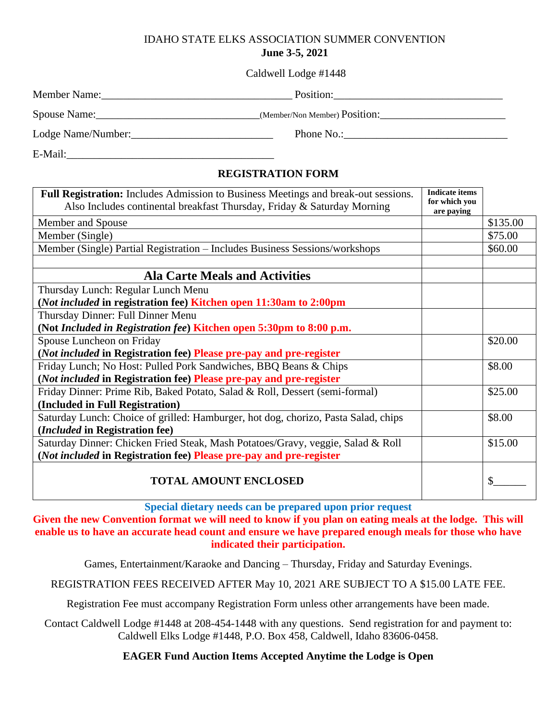#### IDAHO STATE ELKS ASSOCIATION SUMMER CONVENTION **June 3-5, 2021**

# Caldwell Lodge #1448

Member Name:\_\_\_\_\_\_\_\_\_\_\_\_\_\_\_\_\_\_\_\_\_\_\_\_\_\_\_\_\_\_\_\_\_\_\_ Position:\_\_\_\_\_\_\_\_\_\_\_\_\_\_\_\_\_\_\_\_\_\_\_\_\_\_\_\_\_\_\_

| Spouse<br>ланны | (Member/Non Member) POS <sup>1</sup> |
|-----------------|--------------------------------------|
|                 |                                      |

Lodge Name/Number:\_\_\_\_\_\_\_\_\_\_\_\_\_\_\_\_\_\_\_\_\_\_\_\_\_\_ Phone No.:\_\_\_\_\_\_\_\_\_\_\_\_\_\_\_\_\_\_\_\_\_\_\_\_\_\_\_\_\_\_

E-Mail:

# **REGISTRATION FORM**

| Full Registration: Includes Admission to Business Meetings and break-out sessions. | <b>Indicate items</b>       |          |
|------------------------------------------------------------------------------------|-----------------------------|----------|
| Also Includes continental breakfast Thursday, Friday & Saturday Morning            | for which you<br>are paying |          |
| Member and Spouse                                                                  |                             | \$135.00 |
| Member (Single)                                                                    |                             | \$75.00  |
| Member (Single) Partial Registration – Includes Business Sessions/workshops        |                             | \$60.00  |
|                                                                                    |                             |          |
| <b>Ala Carte Meals and Activities</b>                                              |                             |          |
| Thursday Lunch: Regular Lunch Menu                                                 |                             |          |
| (Not included in registration fee) Kitchen open 11:30am to 2:00pm                  |                             |          |
| Thursday Dinner: Full Dinner Menu                                                  |                             |          |
| (Not Included in Registration fee) Kitchen open 5:30pm to 8:00 p.m.                |                             |          |
| Spouse Luncheon on Friday                                                          |                             | \$20.00  |
| ( <i>Not included</i> in Registration fee) <b>Please pre-pay and pre-register</b>  |                             |          |
| Friday Lunch; No Host: Pulled Pork Sandwiches, BBQ Beans & Chips                   |                             | \$8.00   |
| (Not included in Registration fee) Please pre-pay and pre-register                 |                             |          |
| Friday Dinner: Prime Rib, Baked Potato, Salad & Roll, Dessert (semi-formal)        |                             | \$25.00  |
| (Included in Full Registration)                                                    |                             |          |
| Saturday Lunch: Choice of grilled: Hamburger, hot dog, chorizo, Pasta Salad, chips |                             | \$8.00   |
| ( <i>Included</i> in Registration fee)                                             |                             |          |
| Saturday Dinner: Chicken Fried Steak, Mash Potatoes/Gravy, veggie, Salad & Roll    |                             | \$15.00  |
| (Not included in Registration fee) Please pre-pay and pre-register                 |                             |          |
| <b>TOTAL AMOUNT ENCLOSED</b>                                                       |                             | \$       |

**Special dietary needs can be prepared upon prior request**

**Given the new Convention format we will need to know if you plan on eating meals at the lodge. This will enable us to have an accurate head count and ensure we have prepared enough meals for those who have indicated their participation.**

Games, Entertainment/Karaoke and Dancing – Thursday, Friday and Saturday Evenings.

REGISTRATION FEES RECEIVED AFTER May 10, 2021 ARE SUBJECT TO A \$15.00 LATE FEE.

Registration Fee must accompany Registration Form unless other arrangements have been made.

Contact Caldwell Lodge #1448 at 208-454-1448 with any questions. Send registration for and payment to: Caldwell Elks Lodge #1448, P.O. Box 458, Caldwell, Idaho 83606-0458.

## **EAGER Fund Auction Items Accepted Anytime the Lodge is Open**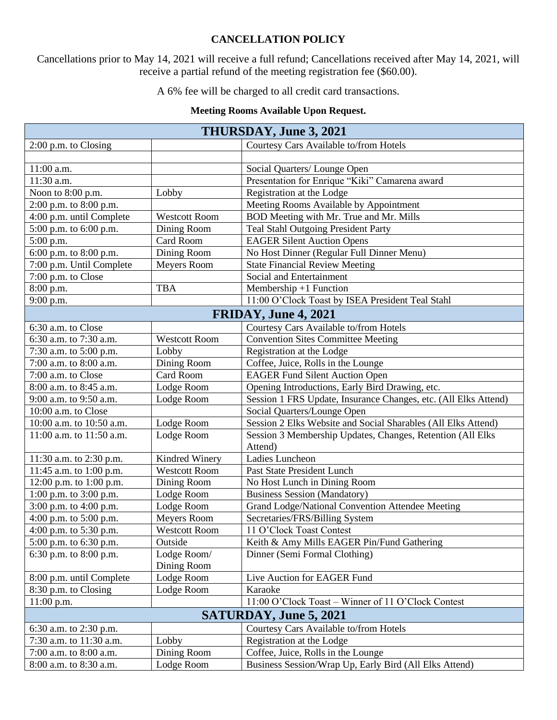# **CANCELLATION POLICY**

Cancellations prior to May 14, 2021 will receive a full refund; Cancellations received after May 14, 2021, will receive a partial refund of the meeting registration fee (\$60.00).

A 6% fee will be charged to all credit card transactions.

### **Meeting Rooms Available Upon Request.**

| THURSDAY, June 3, 2021        |                      |                                                                 |  |
|-------------------------------|----------------------|-----------------------------------------------------------------|--|
| $2:00$ p.m. to Closing        |                      | Courtesy Cars Available to/from Hotels                          |  |
|                               |                      |                                                                 |  |
| 11:00 a.m.                    |                      | Social Quarters/ Lounge Open                                    |  |
| 11:30 a.m.                    |                      | Presentation for Enrique "Kiki" Camarena award                  |  |
| Noon to 8:00 p.m.             | Lobby                | Registration at the Lodge                                       |  |
| 2:00 p.m. to 8:00 p.m.        |                      | Meeting Rooms Available by Appointment                          |  |
| 4:00 p.m. until Complete      | <b>Westcott Room</b> | BOD Meeting with Mr. True and Mr. Mills                         |  |
| 5:00 p.m. to 6:00 p.m.        | Dining Room          | <b>Teal Stahl Outgoing President Party</b>                      |  |
| 5:00 p.m.                     | Card Room            | <b>EAGER Silent Auction Opens</b>                               |  |
| 6:00 p.m. to 8:00 p.m.        | Dining Room          | No Host Dinner (Regular Full Dinner Menu)                       |  |
| 7:00 p.m. Until Complete      | Meyers Room          | <b>State Financial Review Meeting</b>                           |  |
| 7:00 p.m. to Close            |                      | Social and Entertainment                                        |  |
| 8:00 p.m.                     | <b>TBA</b>           | Membership +1 Function                                          |  |
| $9:00$ p.m.                   |                      | 11:00 O'Clock Toast by ISEA President Teal Stahl                |  |
| FRIDAY, June 4, 2021          |                      |                                                                 |  |
| 6:30 a.m. to Close            |                      | Courtesy Cars Available to/from Hotels                          |  |
| 6:30 a.m. to 7:30 a.m.        | <b>Westcott Room</b> | <b>Convention Sites Committee Meeting</b>                       |  |
| 7:30 a.m. to 5:00 p.m.        | Lobby                | Registration at the Lodge                                       |  |
| 7:00 a.m. to 8:00 a.m.        | Dining Room          | Coffee, Juice, Rolls in the Lounge                              |  |
| 7:00 a.m. to Close            | Card Room            | <b>EAGER Fund Silent Auction Open</b>                           |  |
| 8:00 a.m. to 8:45 a.m.        | Lodge Room           | Opening Introductions, Early Bird Drawing, etc.                 |  |
| 9:00 a.m. to 9:50 a.m.        | Lodge Room           | Session 1 FRS Update, Insurance Changes, etc. (All Elks Attend) |  |
| 10:00 a.m. to Close           |                      | Social Quarters/Lounge Open                                     |  |
| 10:00 a.m. to 10:50 a.m.      | Lodge Room           | Session 2 Elks Website and Social Sharables (All Elks Attend)   |  |
| 11:00 a.m. to 11:50 a.m.      | Lodge Room           | Session 3 Membership Updates, Changes, Retention (All Elks      |  |
|                               |                      | Attend)                                                         |  |
| 11:30 a.m. to 2:30 p.m.       | Kindred Winery       | Ladies Luncheon                                                 |  |
| 11:45 a.m. to 1:00 p.m.       | <b>Westcott Room</b> | Past State President Lunch                                      |  |
| 12:00 p.m. to 1:00 p.m.       | Dining Room          | No Host Lunch in Dining Room                                    |  |
| 1:00 p.m. to 3:00 p.m.        | Lodge Room           | <b>Business Session (Mandatory)</b>                             |  |
| 3:00 p.m. to 4:00 p.m.        | Lodge Room           | Grand Lodge/National Convention Attendee Meeting                |  |
| 4:00 p.m. to 5:00 p.m.        | Meyers Room          | Secretaries/FRS/Billing System                                  |  |
| 4:00 p.m. to 5:30 p.m.        | Westcott Room        | 11 O'Clock Toast Contest                                        |  |
| 5:00 p.m. to 6:30 p.m.        | Outside              | Keith & Amy Mills EAGER Pin/Fund Gathering                      |  |
| 6:30 p.m. to 8:00 p.m.        | Lodge Room/          | Dinner (Semi Formal Clothing)                                   |  |
|                               | Dining Room          |                                                                 |  |
| 8:00 p.m. until Complete      | Lodge Room           | Live Auction for EAGER Fund                                     |  |
| 8:30 p.m. to Closing          | Lodge Room           | Karaoke                                                         |  |
| 11:00 p.m.                    |                      | 11:00 O'Clock Toast - Winner of 11 O'Clock Contest              |  |
| <b>SATURDAY, June 5, 2021</b> |                      |                                                                 |  |
| 6:30 a.m. to 2:30 p.m.        |                      | Courtesy Cars Available to/from Hotels                          |  |
| 7:30 a.m. to 11:30 a.m.       | Lobby                | Registration at the Lodge                                       |  |
| 7:00 a.m. to 8:00 a.m.        | Dining Room          | Coffee, Juice, Rolls in the Lounge                              |  |
| 8:00 a.m. to 8:30 a.m.        | Lodge Room           | Business Session/Wrap Up, Early Bird (All Elks Attend)          |  |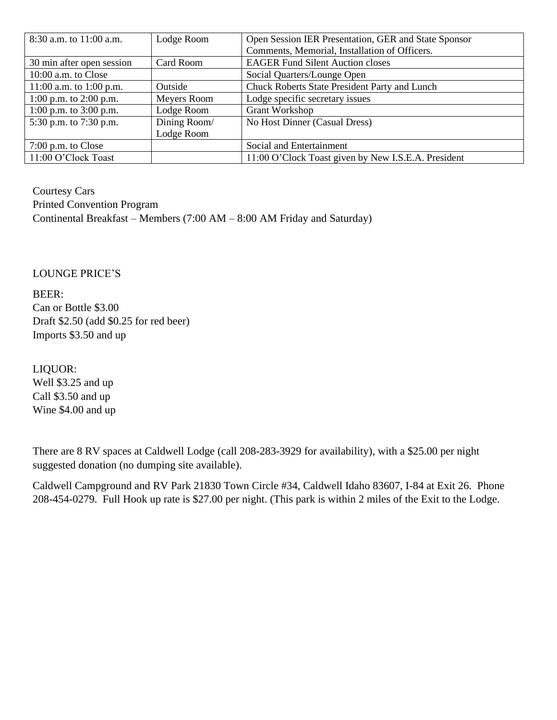| $8:30$ a.m. to $11:00$ a.m. | Lodge Room   | Open Session IER Presentation, GER and State Sponsor |
|-----------------------------|--------------|------------------------------------------------------|
|                             |              | Comments, Memorial, Installation of Officers.        |
| 30 min after open session   | Card Room    | <b>EAGER Fund Silent Auction closes</b>              |
| $10:00$ a.m. to Close       |              | Social Quarters/Lounge Open                          |
| 11:00 a.m. to 1:00 p.m.     | Outside      | Chuck Roberts State President Party and Lunch        |
| 1:00 p.m. to 2:00 p.m.      | Meyers Room  | Lodge specific secretary issues                      |
| 1:00 p.m. to $3:00$ p.m.    | Lodge Room   | Grant Workshop                                       |
| 5:30 p.m. to 7:30 p.m.      | Dining Room/ | No Host Dinner (Casual Dress)                        |
|                             | Lodge Room   |                                                      |
| $7:00$ p.m. to Close        |              | Social and Entertainment                             |
| 11:00 O'Clock Toast         |              | 11:00 O'Clock Toast given by New I.S.E.A. President  |

Courtesy Cars Printed Convention Program Continental Breakfast – Members (7:00 AM – 8:00 AM Friday and Saturday)

## LOUNGE PRICE'S

BEER:

Can or Bottle \$3.00 Draft \$2.50 (add \$0.25 for red beer) Imports \$3.50 and up

LIQUOR:

Well \$3.25 and up Call \$3.50 and up Wine \$4.00 and up

There are 8 RV spaces at Caldwell Lodge (call 208-283-3929 for availability), with a \$25.00 per night suggested donation (no dumping site available).

Caldwell Campground and RV Park 21830 Town Circle #34, Caldwell Idaho 83607, I-84 at Exit 26. Phone 208-454-0279. Full Hook up rate is \$27.00 per night. (This park is within 2 miles of the Exit to the Lodge.